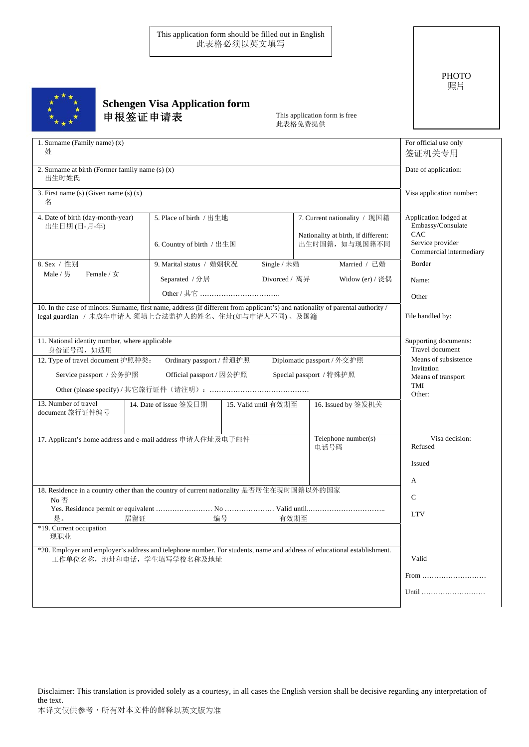This application form should be filled out in English 此表格必须以英文填写

## **Schengen Visa Application form** 申根签证申请表

This application form is free 此表格免费提供

| 1. Surname (Family name) $(x)$<br>姓                                                                                                                                                    | For official use only<br>签证机关专用                    |                      |                                                       |                                                   |
|----------------------------------------------------------------------------------------------------------------------------------------------------------------------------------------|----------------------------------------------------|----------------------|-------------------------------------------------------|---------------------------------------------------|
| 2. Surname at birth (Former family name $(s)$ $(x)$ )<br>出生时姓氏                                                                                                                         | Date of application:                               |                      |                                                       |                                                   |
| 3. First name (s) (Given name (s) $(x)$<br>名                                                                                                                                           | Visa application number:                           |                      |                                                       |                                                   |
| 4. Date of birth (day-month-year)<br>出生日期(日-月-年)                                                                                                                                       | 5. Place of birth / 出生地                            |                      | 7. Current nationality / 现国籍                          | Application lodged at<br>Embassy/Consulate<br>CAC |
|                                                                                                                                                                                        | 6. Country of birth / 出生国                          |                      | Nationality at birth, if different:<br>出生时国籍, 如与现国籍不同 | Service provider<br>Commercial intermediary       |
| 8. Sex / 性别                                                                                                                                                                            | 9. Marital status / 婚姻状况                           | Single / 未婚          | Married / 已婚                                          | Border                                            |
| Male / 男<br>Female / $\frac{1}{2}$                                                                                                                                                     | Divorced / 离异<br>Separated / 分居<br>Widow (er) / 丧偶 |                      | Name:                                                 |                                                   |
|                                                                                                                                                                                        |                                                    |                      |                                                       | Other                                             |
| 10. In the case of minors: Surname, first name, address (if different from applicant's) and nationality of parental authority /<br>legal guardian / 未成年申请人 须填上合法监护人的姓名、住址(如与申请人不同)、及国籍 | File handled by:                                   |                      |                                                       |                                                   |
| 11. National identity number, where applicable<br>身份证号码, 如适用                                                                                                                           | Supporting documents:<br>Travel document           |                      |                                                       |                                                   |
| 12. Type of travel document 护照种类:                                                                                                                                                      | Means of subsistence                               |                      |                                                       |                                                   |
| Service passport / 公务护照                                                                                                                                                                | Invitation<br>Means of transport                   |                      |                                                       |                                                   |
|                                                                                                                                                                                        | TMI<br>Other:                                      |                      |                                                       |                                                   |
| 13. Number of travel<br>document 旅行证件编号                                                                                                                                                | 14. Date of issue 签发日期                             | 15. Valid until 有效期至 | 16. Issued by 签发机关                                    |                                                   |
| Telephone number(s)<br>17. Applicant's home address and e-mail address 申请人住址及电子邮件<br>电话号码                                                                                              |                                                    |                      |                                                       | Visa decision:<br>Refused                         |
|                                                                                                                                                                                        | Issued                                             |                      |                                                       |                                                   |
| 18. Residence in a country other than the country of current nationality 是否居住在现时国籍以外的国家                                                                                                | А                                                  |                      |                                                       |                                                   |
| No 否                                                                                                                                                                                   |                                                    |                      |                                                       | $\mathcal{C}$                                     |
|                                                                                                                                                                                        |                                                    |                      |                                                       | <b>LTV</b>                                        |
| 居留证<br>是。<br>*19. Current occupation<br>现职业                                                                                                                                            | 编号                                                 | 有效期至                 |                                                       |                                                   |
| *20. Employer and employer's address and telephone number. For students, name and address of educational establishment.<br>工作单位名称, 地址和电话, 学生填写学校名称及地址                                  |                                                    |                      |                                                       | Valid                                             |
|                                                                                                                                                                                        | From                                               |                      |                                                       |                                                   |
|                                                                                                                                                                                        |                                                    |                      |                                                       | Until                                             |
|                                                                                                                                                                                        |                                                    |                      |                                                       |                                                   |

Disclaimer: This translation is provided solely as a courtesy, in all cases the English version shall be decisive regarding any interpretation of the text.

PHOTO 照片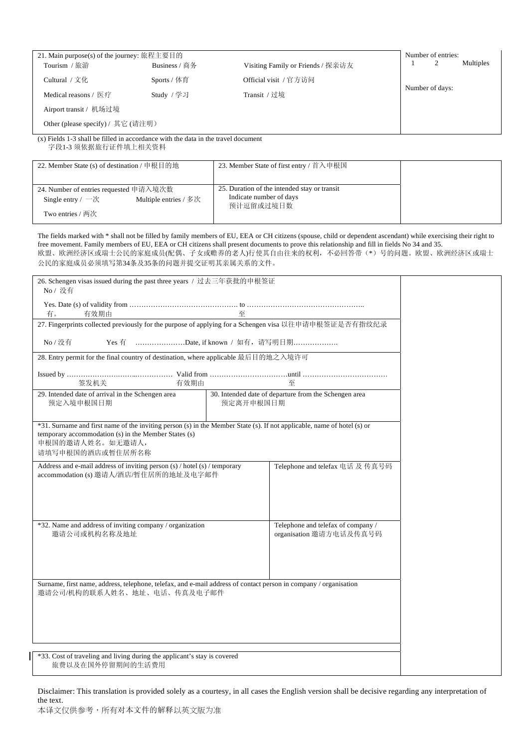| 21. Main purpose(s) of the journey: 旅程主要目的                                                                         |                                                                                                                         |                                                               |                                                                                                                                             | Number of entries:<br>$\mathbf{1}$<br>2<br>Multiples                                                                                                                                                                                  |
|--------------------------------------------------------------------------------------------------------------------|-------------------------------------------------------------------------------------------------------------------------|---------------------------------------------------------------|---------------------------------------------------------------------------------------------------------------------------------------------|---------------------------------------------------------------------------------------------------------------------------------------------------------------------------------------------------------------------------------------|
| Tourism / 旅游                                                                                                       | Business / 商务                                                                                                           |                                                               | Visiting Family or Friends / 探亲访友                                                                                                           |                                                                                                                                                                                                                                       |
| Cultural / 文化                                                                                                      | Sports / 体育                                                                                                             |                                                               | Official visit / 官方访问                                                                                                                       | Number of days:                                                                                                                                                                                                                       |
| Medical reasons / 医疗                                                                                               | Study / 学习                                                                                                              | Transit / 过境                                                  |                                                                                                                                             |                                                                                                                                                                                                                                       |
| Airport transit / 机场过境                                                                                             |                                                                                                                         |                                                               |                                                                                                                                             |                                                                                                                                                                                                                                       |
| Other (please specify) / 其它 (请注明)                                                                                  |                                                                                                                         |                                                               |                                                                                                                                             |                                                                                                                                                                                                                                       |
| $(x)$ Fields 1-3 shall be filled in accordance with the data in the travel document<br>字段1-3 须依据旅行证件填上相关资料         |                                                                                                                         |                                                               |                                                                                                                                             |                                                                                                                                                                                                                                       |
| 22. Member State (s) of destination / 申根目的地                                                                        |                                                                                                                         |                                                               | 23. Member State of first entry / 首入申根国                                                                                                     |                                                                                                                                                                                                                                       |
| 24. Number of entries requested 申请入境次数                                                                             |                                                                                                                         | Indicate number of days                                       | 25. Duration of the intended stay or transit                                                                                                |                                                                                                                                                                                                                                       |
| Single entry / $-\mathcal{K}$                                                                                      | Multiple entries / 多次                                                                                                   | 预计逗留或过境日数                                                     |                                                                                                                                             |                                                                                                                                                                                                                                       |
| Two entries / 两次                                                                                                   |                                                                                                                         |                                                               |                                                                                                                                             |                                                                                                                                                                                                                                       |
| 公民的家庭成员必须填写第34条及35条的问题并提交证明其亲属关系的文件。<br>26. Schengen visas issued during the past three years / 过去三年获批的申根签证        |                                                                                                                         |                                                               | free movement. Family members of EU, EEA or CH citizens shall present documents to prove this relationship and fill in fields No 34 and 35. | The fields marked with * shall not be filled by family members of EU, EEA or CH citizens (spouse, child or dependent ascendant) while exercising their right to<br>欧盟、欧洲经济区或瑞士公民的家庭成员(配偶、子女或赡养的老人)行使其自由往来的权利,不必回答带(*)号的问题。欧盟、欧洲经济区或瑞士 |
| No / 没有                                                                                                            |                                                                                                                         |                                                               |                                                                                                                                             |                                                                                                                                                                                                                                       |
| 有效期由<br>有。                                                                                                         |                                                                                                                         | 至                                                             |                                                                                                                                             |                                                                                                                                                                                                                                       |
|                                                                                                                    |                                                                                                                         |                                                               | 27. Fingerprints collected previously for the purpose of applying for a Schengen visa 以往申请申根签证是否有指纹纪录                                       |                                                                                                                                                                                                                                       |
| No / 没有                                                                                                            | Yes 有 Date, if known / 如有, 请写明日期                                                                                        |                                                               |                                                                                                                                             |                                                                                                                                                                                                                                       |
| 28. Entry permit for the final country of destination, where applicable 最后目的地之入境许可                                 |                                                                                                                         |                                                               |                                                                                                                                             |                                                                                                                                                                                                                                       |
| 签发机关                                                                                                               | 有效期由                                                                                                                    |                                                               | 至                                                                                                                                           |                                                                                                                                                                                                                                       |
| 预定入境申根国日期                                                                                                          | 29. Intended date of arrival in the Schengen area<br>30. Intended date of departure from the Schengen area<br>预定离开申根国日期 |                                                               |                                                                                                                                             |                                                                                                                                                                                                                                       |
| temporary accommodation (s) in the Member States (s)<br>申根国的邀请人姓名。如无邀请人,<br>请填写申根国的酒店或暂住居所名称                       |                                                                                                                         |                                                               | *31. Surname and first name of the inviting person (s) in the Member State (s). If not applicable, name of hotel (s) or                     |                                                                                                                                                                                                                                       |
| Address and e-mail address of inviting person (s) / hotel (s) / temporary<br>accommodation (s) 邀请人/酒店/暂住居所的地址及电字邮件 |                                                                                                                         |                                                               | Telephone and telefax 电话 及 传真号码                                                                                                             |                                                                                                                                                                                                                                       |
| *32. Name and address of inviting company / organization<br>邀请公司或机构名称及地址                                           |                                                                                                                         | Telephone and telefax of company /<br>organisation 邀请方电话及传真号码 |                                                                                                                                             |                                                                                                                                                                                                                                       |
| 邀请公司/机构的联系人姓名、地址、电话、传真及电子邮件                                                                                        |                                                                                                                         |                                                               | Surname, first name, address, telephone, telefax, and e-mail address of contact person in company / organisation                            |                                                                                                                                                                                                                                       |
| *33. Cost of traveling and living during the applicant's stay is covered<br>旅费以及在国外停留期间的生活费用                       |                                                                                                                         |                                                               |                                                                                                                                             |                                                                                                                                                                                                                                       |

Disclaimer: This translation is provided solely as a courtesy, in all cases the English version shall be decisive regarding any interpretation of the text.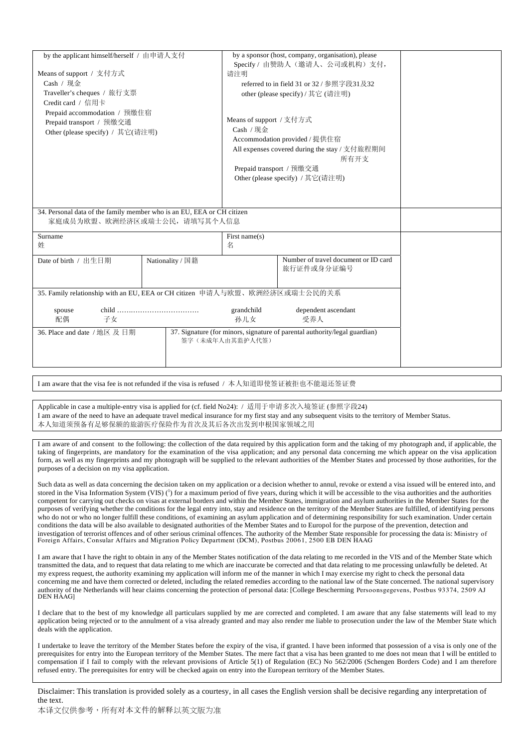| by the applicant himself/herself / 由申请人支付                                                                  |                  | by a sponsor (host, company, organisation), please |                                               |  |
|------------------------------------------------------------------------------------------------------------|------------------|----------------------------------------------------|-----------------------------------------------|--|
|                                                                                                            |                  |                                                    | Specify / 由赞助人(邀请人、公司或机构)支付,                  |  |
| Means of support / 支付方式                                                                                    |                  | 请注明                                                |                                               |  |
| Cash /                                                                                                     |                  | referred to in field 31 or 32 / 参照字段31及32          |                                               |  |
| Traveller's cheques / 旅行支票                                                                                 |                  | other (please specify) / 其它 (请注明)                  |                                               |  |
| Credit card / 信用卡                                                                                          |                  |                                                    |                                               |  |
| Prepaid accommodation / 预缴住宿                                                                               |                  |                                                    |                                               |  |
| Prepaid transport / 预缴交通                                                                                   |                  | Means of support / 支付方式                            |                                               |  |
| Other (please specify) / 其它(请注明)                                                                           |                  | Cash /                                             |                                               |  |
|                                                                                                            |                  | Accommodation provided / 提供住宿                      |                                               |  |
|                                                                                                            |                  |                                                    | All expenses covered during the stay / 支付旅程期间 |  |
|                                                                                                            |                  |                                                    | 所有开支                                          |  |
|                                                                                                            |                  |                                                    | Prepaid transport / 预缴交通                      |  |
|                                                                                                            |                  |                                                    | Other (please specify) / 其它(请注明)              |  |
|                                                                                                            |                  |                                                    |                                               |  |
|                                                                                                            |                  |                                                    |                                               |  |
| 34. Personal data of the family member who is an EU, EEA or CH citizen                                     |                  |                                                    |                                               |  |
| 家庭成员为欧盟、欧洲经济区或瑞士公民, 请填写其个人信息                                                                               |                  |                                                    |                                               |  |
|                                                                                                            |                  |                                                    |                                               |  |
| Surname                                                                                                    |                  | First name $(s)$                                   |                                               |  |
| 姓                                                                                                          |                  | 名                                                  |                                               |  |
| Date of birth / 出生日期                                                                                       | Nationality / 国籍 |                                                    | Number of travel document or ID card          |  |
|                                                                                                            |                  |                                                    | 旅行证件或身分证编号                                    |  |
|                                                                                                            |                  |                                                    |                                               |  |
|                                                                                                            |                  |                                                    |                                               |  |
| 35. Family relationship with an EU, EEA or CH citizen 申请人与欧盟、欧洲经济区或瑞士公民的关系                                 |                  |                                                    |                                               |  |
|                                                                                                            |                  | grandchild                                         | dependent ascendant                           |  |
| spouse<br>配偶<br>子女                                                                                         |                  | 孙儿女                                                | 受养人                                           |  |
|                                                                                                            |                  |                                                    |                                               |  |
| 37. Signature (for minors, signature of parental authority/legal guardian)<br>36. Place and date / 地区 及 日期 |                  |                                                    |                                               |  |
|                                                                                                            |                  | 签字(未成年人由其监护人代签)                                    |                                               |  |
|                                                                                                            |                  |                                                    |                                               |  |
|                                                                                                            |                  |                                                    |                                               |  |
|                                                                                                            |                  |                                                    |                                               |  |

I am aware that the visa fee is not refunded if the visa is refused / 本人知道即使签证被拒也不能退还签证费

Applicable in case a multiple-entry visa is applied for (cf. field No24): / 适用于申请多次入境签证 (参照字段24) I am aware of the need to have an adequate travel medical insurance for my first stay and any subsequent visits to the territory of Member Status. 本人知道须预备有足够保额的旅游医疗保险作为首次及其后各次出发到申根国家领域之用

I am aware of and consent to the following: the collection of the data required by this application form and the taking of my photograph and, if applicable, the taking of fingerprints, are mandatory for the examination of the visa application; and any personal data concerning me which appear on the visa application form, as well as my fingerprints and my photograph will be supplied to the relevant authorities of the Member States and processed by those authorities, for the purposes of a decision on my visa application.

Such data as well as data concerning the decision taken on my application or a decision whether to annul, revoke or extend a visa issued will be entered into, and stored in the Visa Information System (VIS)  $\binom{1}{1}$  for a maximum period of five years, during which it will be accessible to the visa authorities and the authorities competent for carrying out checks on visas at external borders and within the Member States, immigration and asylum authorities in the Member States for the purposes of verifying whether the conditions for the legal entry into, stay and residence on the territory of the Member States are fulfilled, of identifying persons who do not or who no longer fulfill these conditions, of examining an asylum application and of determining responsibility for such examination. Under certain conditions the data will be also available to designated authorities of the Member States and to Europol for the purpose of the prevention, detection and investigation of terrorist offences and of other serious criminal offences. The authority of the Member State responsible for processing the data is: Ministry of<br>Foreign Affairs, Consular Affairs and Migration Policy Depar

I am aware that I have the right to obtain in any of the Member States notification of the data relating to me recorded in the VIS and of the Member State which transmitted the data, and to request that data relating to me which are inaccurate be corrected and that data relating to me processing unlawfully be deleted. At my express request, the authority examining my application will inform me of the manner in which I may exercise my right to check the personal data concerning me and have them corrected or deleted, including the related remedies according to the national law of the State concerned. The national supervisory authority of the Netherlands will hear claims concerning the protection of personal data: [College Bescherming Persoonsgegevens, Postbus 93374, 2509 AJ DEN HAAG]

I declare that to the best of my knowledge all particulars supplied by me are corrected and completed. I am aware that any false statements will lead to my application being rejected or to the annulment of a visa already granted and may also render me liable to prosecution under the law of the Member State which deals with the application.

I undertake to leave the territory of the Member States before the expiry of the visa, if granted. I have been informed that possession of a visa is only one of the prerequisites for entry into the European territory of the Member States. The mere fact that a visa has been granted to me does not mean that I will be entitled to compensation if I fail to comply with the relevant provisions of Article 5(1) of Regulation (EC) No 562/2006 (Schengen Borders Code) and I am therefore refused entry. The prerequisites for entry will be checked again on entry into the European territory of the Member States.

Disclaimer: This translation is provided solely as a courtesy, in all cases the English version shall be decisive regarding any interpretation of the text.